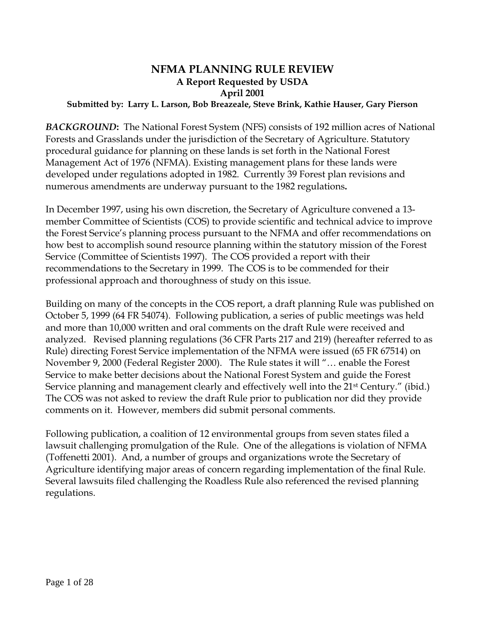# **NFMA PLANNING RULE REVIEW A Report Requested by USDA April 2001**

### **Submitted by: Larry L. Larson, Bob Breazeale, Steve Brink, Kathie Hauser, Gary Pierson**

*BACKGROUND***:** The National Forest System (NFS) consists of 192 million acres of National Forests and Grasslands under the jurisdiction of the Secretary of Agriculture. Statutory procedural guidance for planning on these lands is set forth in the National Forest Management Act of 1976 (NFMA). Existing management plans for these lands were developed under regulations adopted in 1982. Currently 39 Forest plan revisions and numerous amendments are underway pursuant to the 1982 regulations**.** 

In December 1997, using his own discretion, the Secretary of Agriculture convened a 13 member Committee of Scientists (COS) to provide scientific and technical advice to improve the Forest Service's planning process pursuant to the NFMA and offer recommendations on how best to accomplish sound resource planning within the statutory mission of the Forest Service (Committee of Scientists 1997). The COS provided a report with their recommendations to the Secretary in 1999. The COS is to be commended for their professional approach and thoroughness of study on this issue.

Building on many of the concepts in the COS report, a draft planning Rule was published on October 5, 1999 (64 FR 54074). Following publication, a series of public meetings was held and more than 10,000 written and oral comments on the draft Rule were received and analyzed. Revised planning regulations (36 CFR Parts 217 and 219) (hereafter referred to as Rule) directing Forest Service implementation of the NFMA were issued (65 FR 67514) on November 9, 2000 (Federal Register 2000). The Rule states it will "… enable the Forest Service to make better decisions about the National Forest System and guide the Forest Service planning and management clearly and effectively well into the 21<sup>st</sup> Century." (ibid.) The COS was not asked to review the draft Rule prior to publication nor did they provide comments on it. However, members did submit personal comments.

Following publication, a coalition of 12 environmental groups from seven states filed a lawsuit challenging promulgation of the Rule. One of the allegations is violation of NFMA (Toffenetti 2001). And, a number of groups and organizations wrote the Secretary of Agriculture identifying major areas of concern regarding implementation of the final Rule. Several lawsuits filed challenging the Roadless Rule also referenced the revised planning regulations.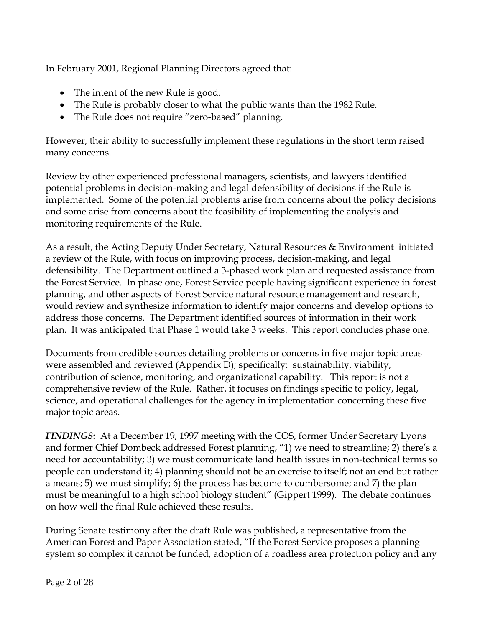In February 2001, Regional Planning Directors agreed that:

- The intent of the new Rule is good.
- The Rule is probably closer to what the public wants than the 1982 Rule.
- The Rule does not require "zero-based" planning.

However, their ability to successfully implement these regulations in the short term raised many concerns.

Review by other experienced professional managers, scientists, and lawyers identified potential problems in decision-making and legal defensibility of decisions if the Rule is implemented. Some of the potential problems arise from concerns about the policy decisions and some arise from concerns about the feasibility of implementing the analysis and monitoring requirements of the Rule.

As a result, the Acting Deputy Under Secretary, Natural Resources & Environment initiated a review of the Rule, with focus on improving process, decision-making, and legal defensibility. The Department outlined a 3-phased work plan and requested assistance from the Forest Service. In phase one, Forest Service people having significant experience in forest planning, and other aspects of Forest Service natural resource management and research, would review and synthesize information to identify major concerns and develop options to address those concerns. The Department identified sources of information in their work plan. It was anticipated that Phase 1 would take 3 weeks. This report concludes phase one.

Documents from credible sources detailing problems or concerns in five major topic areas were assembled and reviewed (Appendix D); specifically: sustainability, viability, contribution of science, monitoring, and organizational capability. This report is not a comprehensive review of the Rule. Rather, it focuses on findings specific to policy, legal, science, and operational challenges for the agency in implementation concerning these five major topic areas.

*FINDINGS***:** At a December 19, 1997 meeting with the COS, former Under Secretary Lyons and former Chief Dombeck addressed Forest planning, "1) we need to streamline; 2) there's a need for accountability; 3) we must communicate land health issues in non-technical terms so people can understand it; 4) planning should not be an exercise to itself; not an end but rather a means; 5) we must simplify; 6) the process has become to cumbersome; and 7) the plan must be meaningful to a high school biology student" (Gippert 1999). The debate continues on how well the final Rule achieved these results.

During Senate testimony after the draft Rule was published, a representative from the American Forest and Paper Association stated, "If the Forest Service proposes a planning system so complex it cannot be funded, adoption of a roadless area protection policy and any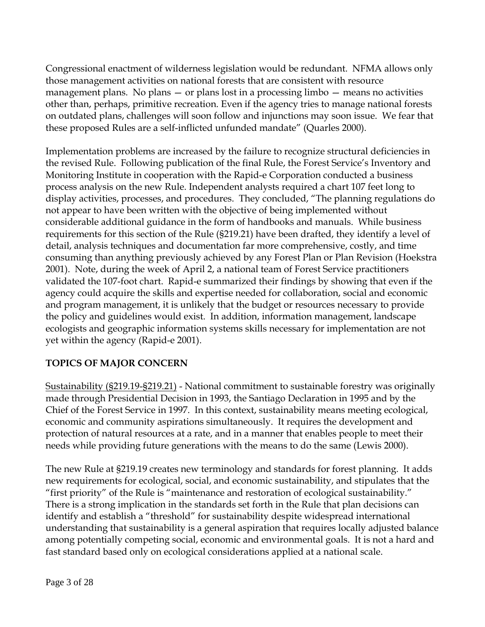Congressional enactment of wilderness legislation would be redundant. NFMA allows only those management activities on national forests that are consistent with resource management plans. No plans  $-$  or plans lost in a processing limbo  $-$  means no activities other than, perhaps, primitive recreation. Even if the agency tries to manage national forests on outdated plans, challenges will soon follow and injunctions may soon issue. We fear that these proposed Rules are a self-inflicted unfunded mandate" (Quarles 2000).

Implementation problems are increased by the failure to recognize structural deficiencies in the revised Rule. Following publication of the final Rule, the Forest Service's Inventory and Monitoring Institute in cooperation with the Rapid-e Corporation conducted a business process analysis on the new Rule. Independent analysts required a chart 107 feet long to display activities, processes, and procedures. They concluded, "The planning regulations do not appear to have been written with the objective of being implemented without considerable additional guidance in the form of handbooks and manuals. While business requirements for this section of the Rule (§219.21) have been drafted, they identify a level of detail, analysis techniques and documentation far more comprehensive, costly, and time consuming than anything previously achieved by any Forest Plan or Plan Revision (Hoekstra 2001). Note, during the week of April 2, a national team of Forest Service practitioners validated the 107-foot chart. Rapid-e summarized their findings by showing that even if the agency could acquire the skills and expertise needed for collaboration, social and economic and program management, it is unlikely that the budget or resources necessary to provide the policy and guidelines would exist. In addition, information management, landscape ecologists and geographic information systems skills necessary for implementation are not yet within the agency (Rapid-e 2001).

# **TOPICS OF MAJOR CONCERN**

Sustainability (§219.19-§219.21) - National commitment to sustainable forestry was originally made through Presidential Decision in 1993, the Santiago Declaration in 1995 and by the Chief of the Forest Service in 1997. In this context, sustainability means meeting ecological, economic and community aspirations simultaneously. It requires the development and protection of natural resources at a rate, and in a manner that enables people to meet their needs while providing future generations with the means to do the same (Lewis 2000).

The new Rule at §219.19 creates new terminology and standards for forest planning. It adds new requirements for ecological, social, and economic sustainability, and stipulates that the "first priority" of the Rule is "maintenance and restoration of ecological sustainability." There is a strong implication in the standards set forth in the Rule that plan decisions can identify and establish a "threshold" for sustainability despite widespread international understanding that sustainability is a general aspiration that requires locally adjusted balance among potentially competing social, economic and environmental goals. It is not a hard and fast standard based only on ecological considerations applied at a national scale.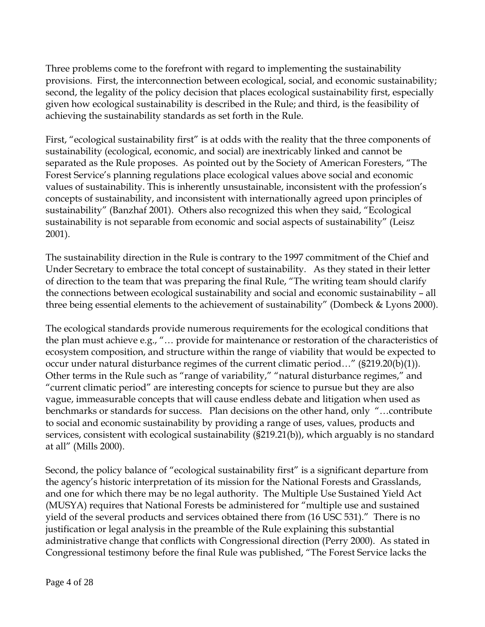Three problems come to the forefront with regard to implementing the sustainability provisions. First, the interconnection between ecological, social, and economic sustainability; second, the legality of the policy decision that places ecological sustainability first, especially given how ecological sustainability is described in the Rule; and third, is the feasibility of achieving the sustainability standards as set forth in the Rule.

First, "ecological sustainability first" is at odds with the reality that the three components of sustainability (ecological, economic, and social) are inextricably linked and cannot be separated as the Rule proposes. As pointed out by the Society of American Foresters, "The Forest Service's planning regulations place ecological values above social and economic values of sustainability. This is inherently unsustainable, inconsistent with the profession's concepts of sustainability, and inconsistent with internationally agreed upon principles of sustainability" (Banzhaf 2001). Others also recognized this when they said, "Ecological sustainability is not separable from economic and social aspects of sustainability" (Leisz 2001).

The sustainability direction in the Rule is contrary to the 1997 commitment of the Chief and Under Secretary to embrace the total concept of sustainability. As they stated in their letter of direction to the team that was preparing the final Rule, "The writing team should clarify the connections between ecological sustainability and social and economic sustainability – all three being essential elements to the achievement of sustainability" (Dombeck & Lyons 2000).

The ecological standards provide numerous requirements for the ecological conditions that the plan must achieve e.g., "… provide for maintenance or restoration of the characteristics of ecosystem composition, and structure within the range of viability that would be expected to occur under natural disturbance regimes of the current climatic period..." ( $\S219.20(b)(1)$ ). Other terms in the Rule such as "range of variability," "natural disturbance regimes," and "current climatic period" are interesting concepts for science to pursue but they are also vague, immeasurable concepts that will cause endless debate and litigation when used as benchmarks or standards for success. Plan decisions on the other hand, only "…contribute to social and economic sustainability by providing a range of uses, values, products and services, consistent with ecological sustainability (§219.21(b)), which arguably is no standard at all" (Mills 2000).

Second, the policy balance of "ecological sustainability first" is a significant departure from the agency's historic interpretation of its mission for the National Forests and Grasslands, and one for which there may be no legal authority. The Multiple Use Sustained Yield Act (MUSYA) requires that National Forests be administered for "multiple use and sustained yield of the several products and services obtained there from (16 USC 531)." There is no justification or legal analysis in the preamble of the Rule explaining this substantial administrative change that conflicts with Congressional direction (Perry 2000). As stated in Congressional testimony before the final Rule was published, "The Forest Service lacks the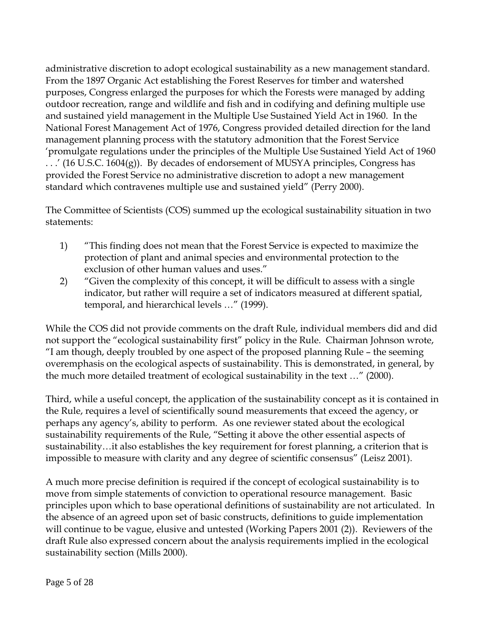administrative discretion to adopt ecological sustainability as a new management standard. From the 1897 Organic Act establishing the Forest Reserves for timber and watershed purposes, Congress enlarged the purposes for which the Forests were managed by adding outdoor recreation, range and wildlife and fish and in codifying and defining multiple use and sustained yield management in the Multiple Use Sustained Yield Act in 1960. In the National Forest Management Act of 1976, Congress provided detailed direction for the land management planning process with the statutory admonition that the Forest Service 'promulgate regulations under the principles of the Multiple Use Sustained Yield Act of 1960  $\ldots$  (16 U.S.C. 1604(g)). By decades of endorsement of MUSYA principles, Congress has provided the Forest Service no administrative discretion to adopt a new management standard which contravenes multiple use and sustained yield" (Perry 2000).

The Committee of Scientists (COS) summed up the ecological sustainability situation in two statements:

- 1) "This finding does not mean that the Forest Service is expected to maximize the protection of plant and animal species and environmental protection to the exclusion of other human values and uses."
- 2) "Given the complexity of this concept, it will be difficult to assess with a single indicator, but rather will require a set of indicators measured at different spatial, temporal, and hierarchical levels …" (1999).

While the COS did not provide comments on the draft Rule, individual members did and did not support the "ecological sustainability first" policy in the Rule. Chairman Johnson wrote, "I am though, deeply troubled by one aspect of the proposed planning Rule – the seeming overemphasis on the ecological aspects of sustainability. This is demonstrated, in general, by the much more detailed treatment of ecological sustainability in the text …" (2000).

Third, while a useful concept, the application of the sustainability concept as it is contained in the Rule, requires a level of scientifically sound measurements that exceed the agency, or perhaps any agency's, ability to perform. As one reviewer stated about the ecological sustainability requirements of the Rule, "Setting it above the other essential aspects of sustainability…it also establishes the key requirement for forest planning, a criterion that is impossible to measure with clarity and any degree of scientific consensus" (Leisz 2001).

A much more precise definition is required if the concept of ecological sustainability is to move from simple statements of conviction to operational resource management. Basic principles upon which to base operational definitions of sustainability are not articulated. In the absence of an agreed upon set of basic constructs, definitions to guide implementation will continue to be vague, elusive and untested (Working Papers 2001 (2)). Reviewers of the draft Rule also expressed concern about the analysis requirements implied in the ecological sustainability section (Mills 2000).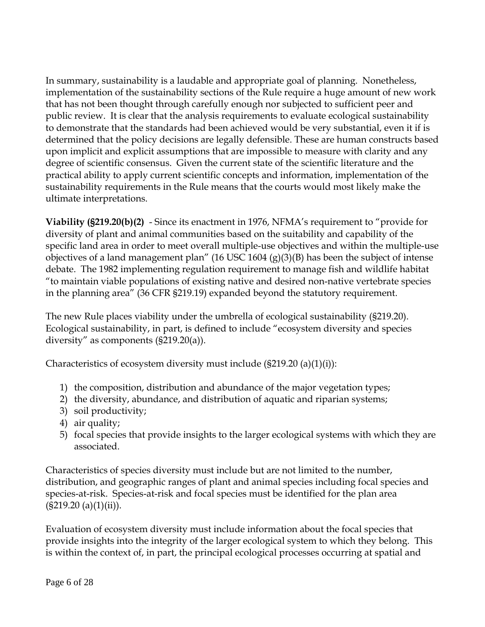In summary, sustainability is a laudable and appropriate goal of planning. Nonetheless, implementation of the sustainability sections of the Rule require a huge amount of new work that has not been thought through carefully enough nor subjected to sufficient peer and public review. It is clear that the analysis requirements to evaluate ecological sustainability to demonstrate that the standards had been achieved would be very substantial, even it if is determined that the policy decisions are legally defensible. These are human constructs based upon implicit and explicit assumptions that are impossible to measure with clarity and any degree of scientific consensus. Given the current state of the scientific literature and the practical ability to apply current scientific concepts and information, implementation of the sustainability requirements in the Rule means that the courts would most likely make the ultimate interpretations.

**Viability (§219.20(b)(2)** - Since its enactment in 1976, NFMA's requirement to "provide for diversity of plant and animal communities based on the suitability and capability of the specific land area in order to meet overall multiple-use objectives and within the multiple-use objectives of a land management plan" (16 USC 1604  $(g)(3)(B)$  has been the subject of intense debate. The 1982 implementing regulation requirement to manage fish and wildlife habitat "to maintain viable populations of existing native and desired non-native vertebrate species in the planning area" (36 CFR §219.19) expanded beyond the statutory requirement.

The new Rule places viability under the umbrella of ecological sustainability (§219.20). Ecological sustainability, in part, is defined to include "ecosystem diversity and species diversity" as components (§219.20(a)).

Characteristics of ecosystem diversity must include  $(S219.20 \text{ (a)}(1)(i))$ :

- 1) the composition, distribution and abundance of the major vegetation types;
- 2) the diversity, abundance, and distribution of aquatic and riparian systems;
- 3) soil productivity;
- 4) air quality;
- 5) focal species that provide insights to the larger ecological systems with which they are associated.

Characteristics of species diversity must include but are not limited to the number, distribution, and geographic ranges of plant and animal species including focal species and species-at-risk. Species-at-risk and focal species must be identified for the plan area  $(S219.20 (a)(1)(ii)).$ 

Evaluation of ecosystem diversity must include information about the focal species that provide insights into the integrity of the larger ecological system to which they belong. This is within the context of, in part, the principal ecological processes occurring at spatial and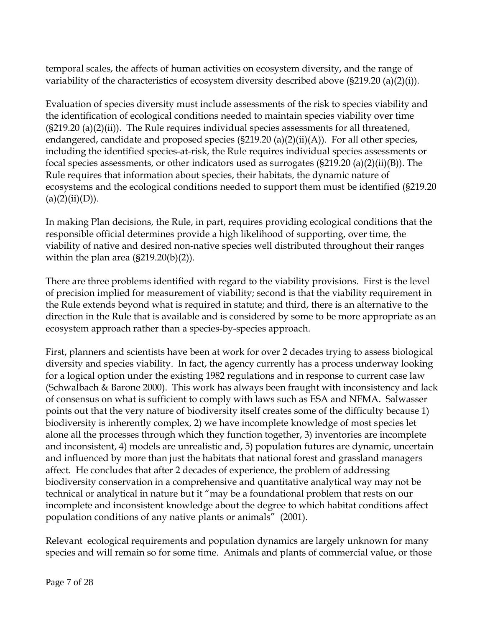temporal scales, the affects of human activities on ecosystem diversity, and the range of variability of the characteristics of ecosystem diversity described above (§219.20 (a)(2)(i)).

Evaluation of species diversity must include assessments of the risk to species viability and the identification of ecological conditions needed to maintain species viability over time  $(S219.20 \text{ (a)}(2)(ii))$ . The Rule requires individual species assessments for all threatened, endangered, candidate and proposed species  $(S219.20 \text{ (a)}(2)(ii)(A))$ . For all other species, including the identified species-at-risk, the Rule requires individual species assessments or focal species assessments, or other indicators used as surrogates  $(\frac{219.20}{a})(2)(ii)(B)$ . The Rule requires that information about species, their habitats, the dynamic nature of ecosystems and the ecological conditions needed to support them must be identified (§219.20  $(a)(2)(ii)(D)).$ 

In making Plan decisions, the Rule, in part, requires providing ecological conditions that the responsible official determines provide a high likelihood of supporting, over time, the viability of native and desired non-native species well distributed throughout their ranges within the plan area  $(S219.20(b)(2))$ .

There are three problems identified with regard to the viability provisions. First is the level of precision implied for measurement of viability; second is that the viability requirement in the Rule extends beyond what is required in statute; and third, there is an alternative to the direction in the Rule that is available and is considered by some to be more appropriate as an ecosystem approach rather than a species-by-species approach.

First, planners and scientists have been at work for over 2 decades trying to assess biological diversity and species viability. In fact, the agency currently has a process underway looking for a logical option under the existing 1982 regulations and in response to current case law (Schwalbach & Barone 2000). This work has always been fraught with inconsistency and lack of consensus on what is sufficient to comply with laws such as ESA and NFMA. Salwasser points out that the very nature of biodiversity itself creates some of the difficulty because 1) biodiversity is inherently complex, 2) we have incomplete knowledge of most species let alone all the processes through which they function together, 3) inventories are incomplete and inconsistent, 4) models are unrealistic and, 5) population futures are dynamic, uncertain and influenced by more than just the habitats that national forest and grassland managers affect. He concludes that after 2 decades of experience, the problem of addressing biodiversity conservation in a comprehensive and quantitative analytical way may not be technical or analytical in nature but it "may be a foundational problem that rests on our incomplete and inconsistent knowledge about the degree to which habitat conditions affect population conditions of any native plants or animals" (2001).

Relevant ecological requirements and population dynamics are largely unknown for many species and will remain so for some time. Animals and plants of commercial value, or those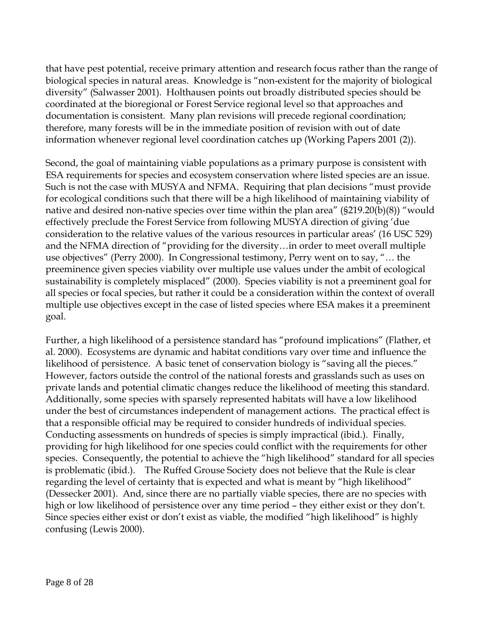that have pest potential, receive primary attention and research focus rather than the range of biological species in natural areas. Knowledge is "non-existent for the majority of biological diversity" (Salwasser 2001). Holthausen points out broadly distributed species should be coordinated at the bioregional or Forest Service regional level so that approaches and documentation is consistent. Many plan revisions will precede regional coordination; therefore, many forests will be in the immediate position of revision with out of date information whenever regional level coordination catches up (Working Papers 2001 (2)).

Second, the goal of maintaining viable populations as a primary purpose is consistent with ESA requirements for species and ecosystem conservation where listed species are an issue. Such is not the case with MUSYA and NFMA. Requiring that plan decisions "must provide for ecological conditions such that there will be a high likelihood of maintaining viability of native and desired non-native species over time within the plan area" (§219.20(b)(8)) "would effectively preclude the Forest Service from following MUSYA direction of giving 'due consideration to the relative values of the various resources in particular areas' (16 USC 529) and the NFMA direction of "providing for the diversity…in order to meet overall multiple use objectives" (Perry 2000). In Congressional testimony, Perry went on to say, "… the preeminence given species viability over multiple use values under the ambit of ecological sustainability is completely misplaced" (2000). Species viability is not a preeminent goal for all species or focal species, but rather it could be a consideration within the context of overall multiple use objectives except in the case of listed species where ESA makes it a preeminent goal.

Further, a high likelihood of a persistence standard has "profound implications" (Flather, et al. 2000). Ecosystems are dynamic and habitat conditions vary over time and influence the likelihood of persistence. A basic tenet of conservation biology is "saving all the pieces." However, factors outside the control of the national forests and grasslands such as uses on private lands and potential climatic changes reduce the likelihood of meeting this standard. Additionally, some species with sparsely represented habitats will have a low likelihood under the best of circumstances independent of management actions. The practical effect is that a responsible official may be required to consider hundreds of individual species. Conducting assessments on hundreds of species is simply impractical (ibid.). Finally, providing for high likelihood for one species could conflict with the requirements for other species. Consequently, the potential to achieve the "high likelihood" standard for all species is problematic (ibid.). The Ruffed Grouse Society does not believe that the Rule is clear regarding the level of certainty that is expected and what is meant by "high likelihood" (Dessecker 2001). And, since there are no partially viable species, there are no species with high or low likelihood of persistence over any time period – they either exist or they don't. Since species either exist or don't exist as viable, the modified "high likelihood" is highly confusing (Lewis 2000).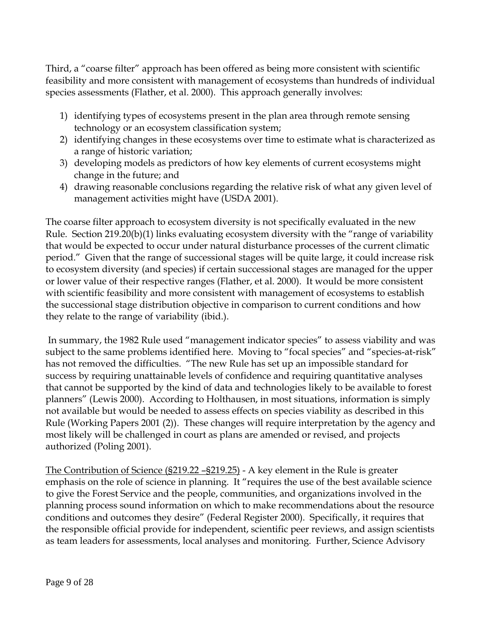Third, a "coarse filter" approach has been offered as being more consistent with scientific feasibility and more consistent with management of ecosystems than hundreds of individual species assessments (Flather, et al. 2000). This approach generally involves:

- 1) identifying types of ecosystems present in the plan area through remote sensing technology or an ecosystem classification system;
- 2) identifying changes in these ecosystems over time to estimate what is characterized as a range of historic variation;
- 3) developing models as predictors of how key elements of current ecosystems might change in the future; and
- 4) drawing reasonable conclusions regarding the relative risk of what any given level of management activities might have (USDA 2001).

The coarse filter approach to ecosystem diversity is not specifically evaluated in the new Rule. Section 219.20(b)(1) links evaluating ecosystem diversity with the "range of variability that would be expected to occur under natural disturbance processes of the current climatic period." Given that the range of successional stages will be quite large, it could increase risk to ecosystem diversity (and species) if certain successional stages are managed for the upper or lower value of their respective ranges (Flather, et al. 2000). It would be more consistent with scientific feasibility and more consistent with management of ecosystems to establish the successional stage distribution objective in comparison to current conditions and how they relate to the range of variability (ibid.).

 In summary, the 1982 Rule used "management indicator species" to assess viability and was subject to the same problems identified here. Moving to "focal species" and "species-at-risk" has not removed the difficulties. "The new Rule has set up an impossible standard for success by requiring unattainable levels of confidence and requiring quantitative analyses that cannot be supported by the kind of data and technologies likely to be available to forest planners" (Lewis 2000). According to Holthausen, in most situations, information is simply not available but would be needed to assess effects on species viability as described in this Rule (Working Papers 2001 (2)). These changes will require interpretation by the agency and most likely will be challenged in court as plans are amended or revised, and projects authorized (Poling 2001).

The Contribution of Science (§219.22 –§219.25) - A key element in the Rule is greater emphasis on the role of science in planning. It "requires the use of the best available science to give the Forest Service and the people, communities, and organizations involved in the planning process sound information on which to make recommendations about the resource conditions and outcomes they desire" (Federal Register 2000). Specifically, it requires that the responsible official provide for independent, scientific peer reviews, and assign scientists as team leaders for assessments, local analyses and monitoring. Further, Science Advisory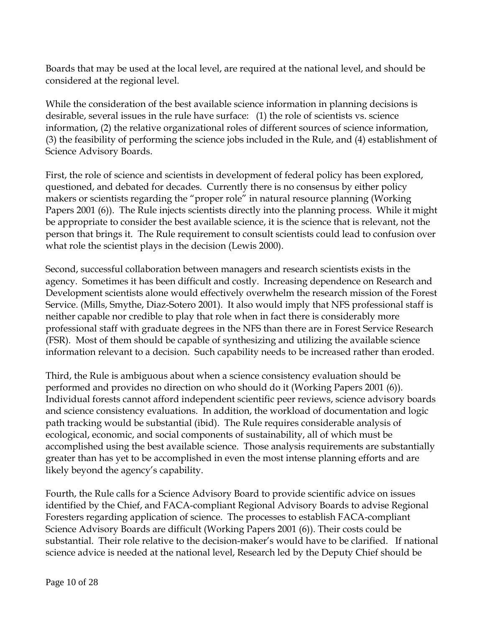Boards that may be used at the local level, are required at the national level, and should be considered at the regional level.

While the consideration of the best available science information in planning decisions is desirable, several issues in the rule have surface: (1) the role of scientists vs. science information, (2) the relative organizational roles of different sources of science information, (3) the feasibility of performing the science jobs included in the Rule, and (4) establishment of Science Advisory Boards.

First, the role of science and scientists in development of federal policy has been explored, questioned, and debated for decades. Currently there is no consensus by either policy makers or scientists regarding the "proper role" in natural resource planning (Working Papers 2001 (6)). The Rule injects scientists directly into the planning process. While it might be appropriate to consider the best available science, it is the science that is relevant, not the person that brings it. The Rule requirement to consult scientists could lead to confusion over what role the scientist plays in the decision (Lewis 2000).

Second, successful collaboration between managers and research scientists exists in the agency. Sometimes it has been difficult and costly. Increasing dependence on Research and Development scientists alone would effectively overwhelm the research mission of the Forest Service. (Mills, Smythe, Diaz-Sotero 2001). It also would imply that NFS professional staff is neither capable nor credible to play that role when in fact there is considerably more professional staff with graduate degrees in the NFS than there are in Forest Service Research (FSR). Most of them should be capable of synthesizing and utilizing the available science information relevant to a decision. Such capability needs to be increased rather than eroded.

Third, the Rule is ambiguous about when a science consistency evaluation should be performed and provides no direction on who should do it (Working Papers 2001 (6)). Individual forests cannot afford independent scientific peer reviews, science advisory boards and science consistency evaluations. In addition, the workload of documentation and logic path tracking would be substantial (ibid). The Rule requires considerable analysis of ecological, economic, and social components of sustainability, all of which must be accomplished using the best available science. Those analysis requirements are substantially greater than has yet to be accomplished in even the most intense planning efforts and are likely beyond the agency's capability.

Fourth, the Rule calls for a Science Advisory Board to provide scientific advice on issues identified by the Chief, and FACA-compliant Regional Advisory Boards to advise Regional Foresters regarding application of science. The processes to establish FACA-compliant Science Advisory Boards are difficult (Working Papers 2001 (6)). Their costs could be substantial. Their role relative to the decision-maker's would have to be clarified. If national science advice is needed at the national level, Research led by the Deputy Chief should be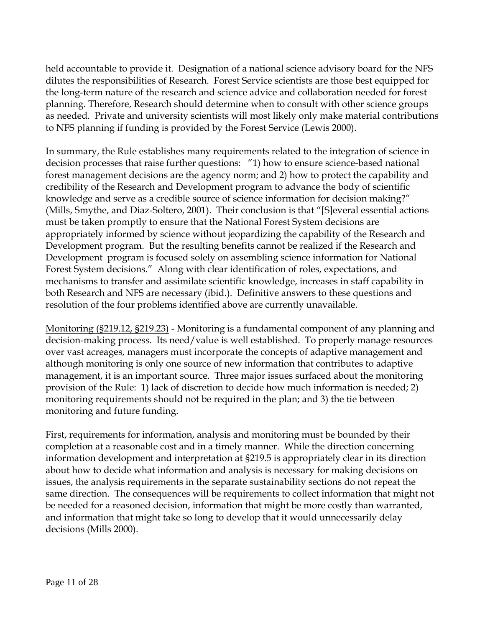held accountable to provide it. Designation of a national science advisory board for the NFS dilutes the responsibilities of Research. Forest Service scientists are those best equipped for the long-term nature of the research and science advice and collaboration needed for forest planning. Therefore, Research should determine when to consult with other science groups as needed. Private and university scientists will most likely only make material contributions to NFS planning if funding is provided by the Forest Service (Lewis 2000).

In summary, the Rule establishes many requirements related to the integration of science in decision processes that raise further questions: "1) how to ensure science-based national forest management decisions are the agency norm; and 2) how to protect the capability and credibility of the Research and Development program to advance the body of scientific knowledge and serve as a credible source of science information for decision making?" (Mills, Smythe, and Diaz-Soltero, 2001). Their conclusion is that "[S]everal essential actions must be taken promptly to ensure that the National Forest System decisions are appropriately informed by science without jeopardizing the capability of the Research and Development program. But the resulting benefits cannot be realized if the Research and Development program is focused solely on assembling science information for National Forest System decisions." Along with clear identification of roles, expectations, and mechanisms to transfer and assimilate scientific knowledge, increases in staff capability in both Research and NFS are necessary (ibid.). Definitive answers to these questions and resolution of the four problems identified above are currently unavailable.

Monitoring (§219.12, §219.23) - Monitoring is a fundamental component of any planning and decision-making process. Its need/value is well established. To properly manage resources over vast acreages, managers must incorporate the concepts of adaptive management and although monitoring is only one source of new information that contributes to adaptive management, it is an important source. Three major issues surfaced about the monitoring provision of the Rule: 1) lack of discretion to decide how much information is needed; 2) monitoring requirements should not be required in the plan; and 3) the tie between monitoring and future funding.

First, requirements for information, analysis and monitoring must be bounded by their completion at a reasonable cost and in a timely manner. While the direction concerning information development and interpretation at §219.5 is appropriately clear in its direction about how to decide what information and analysis is necessary for making decisions on issues, the analysis requirements in the separate sustainability sections do not repeat the same direction. The consequences will be requirements to collect information that might not be needed for a reasoned decision, information that might be more costly than warranted, and information that might take so long to develop that it would unnecessarily delay decisions (Mills 2000).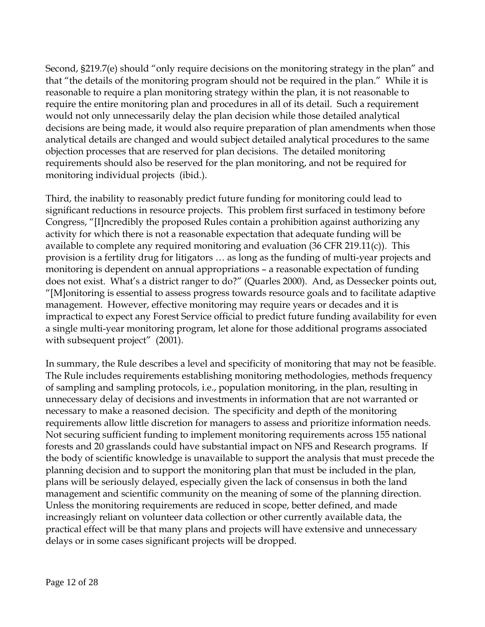Second, §219.7(e) should "only require decisions on the monitoring strategy in the plan" and that "the details of the monitoring program should not be required in the plan." While it is reasonable to require a plan monitoring strategy within the plan, it is not reasonable to require the entire monitoring plan and procedures in all of its detail. Such a requirement would not only unnecessarily delay the plan decision while those detailed analytical decisions are being made, it would also require preparation of plan amendments when those analytical details are changed and would subject detailed analytical procedures to the same objection processes that are reserved for plan decisions. The detailed monitoring requirements should also be reserved for the plan monitoring, and not be required for monitoring individual projects (ibid.).

Third, the inability to reasonably predict future funding for monitoring could lead to significant reductions in resource projects. This problem first surfaced in testimony before Congress, "[I]ncredibly the proposed Rules contain a prohibition against authorizing any activity for which there is not a reasonable expectation that adequate funding will be available to complete any required monitoring and evaluation (36 CFR 219.11(c)). This provision is a fertility drug for litigators … as long as the funding of multi-year projects and monitoring is dependent on annual appropriations – a reasonable expectation of funding does not exist. What's a district ranger to do?" (Quarles 2000). And, as Dessecker points out, "[M]onitoring is essential to assess progress towards resource goals and to facilitate adaptive management. However, effective monitoring may require years or decades and it is impractical to expect any Forest Service official to predict future funding availability for even a single multi-year monitoring program, let alone for those additional programs associated with subsequent project" (2001).

In summary, the Rule describes a level and specificity of monitoring that may not be feasible. The Rule includes requirements establishing monitoring methodologies, methods frequency of sampling and sampling protocols, i.e., population monitoring, in the plan, resulting in unnecessary delay of decisions and investments in information that are not warranted or necessary to make a reasoned decision. The specificity and depth of the monitoring requirements allow little discretion for managers to assess and prioritize information needs. Not securing sufficient funding to implement monitoring requirements across 155 national forests and 20 grasslands could have substantial impact on NFS and Research programs. If the body of scientific knowledge is unavailable to support the analysis that must precede the planning decision and to support the monitoring plan that must be included in the plan, plans will be seriously delayed, especially given the lack of consensus in both the land management and scientific community on the meaning of some of the planning direction. Unless the monitoring requirements are reduced in scope, better defined, and made increasingly reliant on volunteer data collection or other currently available data, the practical effect will be that many plans and projects will have extensive and unnecessary delays or in some cases significant projects will be dropped.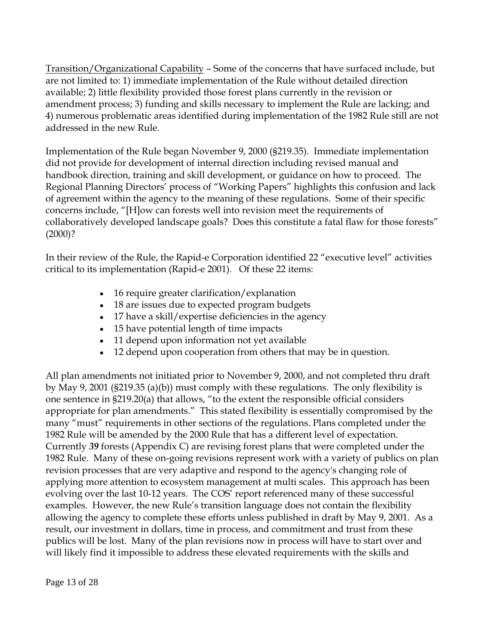Transition/Organizational Capability – Some of the concerns that have surfaced include, but are not limited to: 1) immediate implementation of the Rule without detailed direction available; 2) little flexibility provided those forest plans currently in the revision or amendment process; 3) funding and skills necessary to implement the Rule are lacking; and 4) numerous problematic areas identified during implementation of the 1982 Rule still are not addressed in the new Rule.

Implementation of the Rule began November 9, 2000 (§219.35). Immediate implementation did not provide for development of internal direction including revised manual and handbook direction, training and skill development, or guidance on how to proceed. The Regional Planning Directors' process of "Working Papers" highlights this confusion and lack of agreement within the agency to the meaning of these regulations. Some of their specific concerns include, "[H]ow can forests well into revision meet the requirements of collaboratively developed landscape goals? Does this constitute a fatal flaw for those forests"  $(2000)?$ 

In their review of the Rule, the Rapid-e Corporation identified 22 "executive level" activities critical to its implementation (Rapid-e 2001). Of these 22 items:

- 16 require greater clarification/explanation
- 18 are issues due to expected program budgets
- 17 have a skill/expertise deficiencies in the agency
- 15 have potential length of time impacts
- 11 depend upon information not yet available
- 12 depend upon cooperation from others that may be in question.

All plan amendments not initiated prior to November 9, 2000, and not completed thru draft by May 9, 2001 (§219.35 (a)(b)) must comply with these regulations. The only flexibility is one sentence in §219.20(a) that allows, "to the extent the responsible official considers appropriate for plan amendments." This stated flexibility is essentially compromised by the many "must" requirements in other sections of the regulations. Plans completed under the 1982 Rule will be amended by the 2000 Rule that has a different level of expectation. Currently *39* forests (Appendix C) are revising forest plans that were completed under the 1982 Rule. Many of these on-going revisions represent work with a variety of publics on plan revision processes that are very adaptive and respond to the agency's changing role of applying more attention to ecosystem management at multi scales. This approach has been evolving over the last 10-12 years. The COS' report referenced many of these successful examples. However, the new Rule's transition language does not contain the flexibility allowing the agency to complete these efforts unless published in draft by May 9, 2001. As a result, our investment in dollars, time in process, and commitment and trust from these publics will be lost. Many of the plan revisions now in process will have to start over and will likely find it impossible to address these elevated requirements with the skills and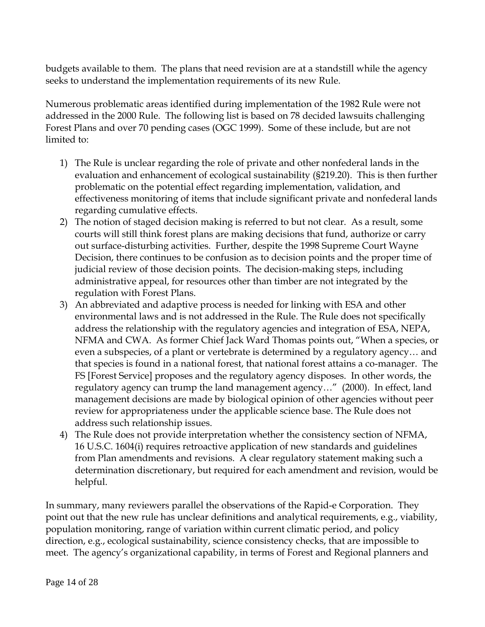budgets available to them. The plans that need revision are at a standstill while the agency seeks to understand the implementation requirements of its new Rule.

Numerous problematic areas identified during implementation of the 1982 Rule were not addressed in the 2000 Rule. The following list is based on 78 decided lawsuits challenging Forest Plans and over 70 pending cases (OGC 1999). Some of these include, but are not limited to:

- 1) The Rule is unclear regarding the role of private and other nonfederal lands in the evaluation and enhancement of ecological sustainability (§219.20). This is then further problematic on the potential effect regarding implementation, validation, and effectiveness monitoring of items that include significant private and nonfederal lands regarding cumulative effects.
- 2) The notion of staged decision making is referred to but not clear. As a result, some courts will still think forest plans are making decisions that fund, authorize or carry out surface-disturbing activities. Further, despite the 1998 Supreme Court Wayne Decision, there continues to be confusion as to decision points and the proper time of judicial review of those decision points. The decision-making steps, including administrative appeal, for resources other than timber are not integrated by the regulation with Forest Plans.
- 3) An abbreviated and adaptive process is needed for linking with ESA and other environmental laws and is not addressed in the Rule. The Rule does not specifically address the relationship with the regulatory agencies and integration of ESA, NEPA, NFMA and CWA. As former Chief Jack Ward Thomas points out, "When a species, or even a subspecies, of a plant or vertebrate is determined by a regulatory agency… and that species is found in a national forest, that national forest attains a co-manager. The FS [Forest Service] proposes and the regulatory agency disposes. In other words, the regulatory agency can trump the land management agency…" (2000). In effect, land management decisions are made by biological opinion of other agencies without peer review for appropriateness under the applicable science base. The Rule does not address such relationship issues.
- 4) The Rule does not provide interpretation whether the consistency section of NFMA, 16 U.S.C. 1604(i) requires retroactive application of new standards and guidelines from Plan amendments and revisions. A clear regulatory statement making such a determination discretionary, but required for each amendment and revision, would be helpful.

In summary, many reviewers parallel the observations of the Rapid-e Corporation. They point out that the new rule has unclear definitions and analytical requirements, e.g., viability, population monitoring, range of variation within current climatic period, and policy direction, e.g., ecological sustainability, science consistency checks, that are impossible to meet. The agency's organizational capability, in terms of Forest and Regional planners and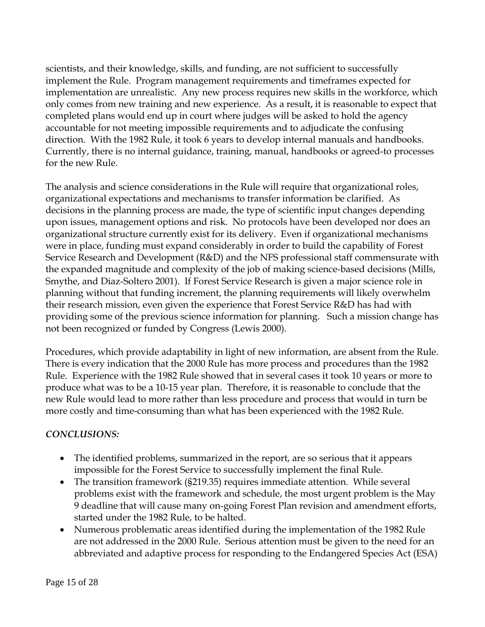scientists, and their knowledge, skills, and funding, are not sufficient to successfully implement the Rule. Program management requirements and timeframes expected for implementation are unrealistic. Any new process requires new skills in the workforce, which only comes from new training and new experience. As a result, it is reasonable to expect that completed plans would end up in court where judges will be asked to hold the agency accountable for not meeting impossible requirements and to adjudicate the confusing direction. With the 1982 Rule, it took 6 years to develop internal manuals and handbooks. Currently, there is no internal guidance, training, manual, handbooks or agreed-to processes for the new Rule.

The analysis and science considerations in the Rule will require that organizational roles, organizational expectations and mechanisms to transfer information be clarified. As decisions in the planning process are made, the type of scientific input changes depending upon issues, management options and risk. No protocols have been developed nor does an organizational structure currently exist for its delivery. Even if organizational mechanisms were in place, funding must expand considerably in order to build the capability of Forest Service Research and Development (R&D) and the NFS professional staff commensurate with the expanded magnitude and complexity of the job of making science-based decisions (Mills, Smythe, and Diaz-Soltero 2001). If Forest Service Research is given a major science role in planning without that funding increment, the planning requirements will likely overwhelm their research mission, even given the experience that Forest Service R&D has had with providing some of the previous science information for planning. Such a mission change has not been recognized or funded by Congress (Lewis 2000).

Procedures, which provide adaptability in light of new information, are absent from the Rule. There is every indication that the 2000 Rule has more process and procedures than the 1982 Rule. Experience with the 1982 Rule showed that in several cases it took 10 years or more to produce what was to be a 10-15 year plan. Therefore, it is reasonable to conclude that the new Rule would lead to more rather than less procedure and process that would in turn be more costly and time-consuming than what has been experienced with the 1982 Rule.

## *CONCLUSIONS:*

- The identified problems, summarized in the report, are so serious that it appears impossible for the Forest Service to successfully implement the final Rule.
- The transition framework (§219.35) requires immediate attention. While several problems exist with the framework and schedule, the most urgent problem is the May 9 deadline that will cause many on-going Forest Plan revision and amendment efforts, started under the 1982 Rule, to be halted.
- Numerous problematic areas identified during the implementation of the 1982 Rule are not addressed in the 2000 Rule. Serious attention must be given to the need for an abbreviated and adaptive process for responding to the Endangered Species Act (ESA)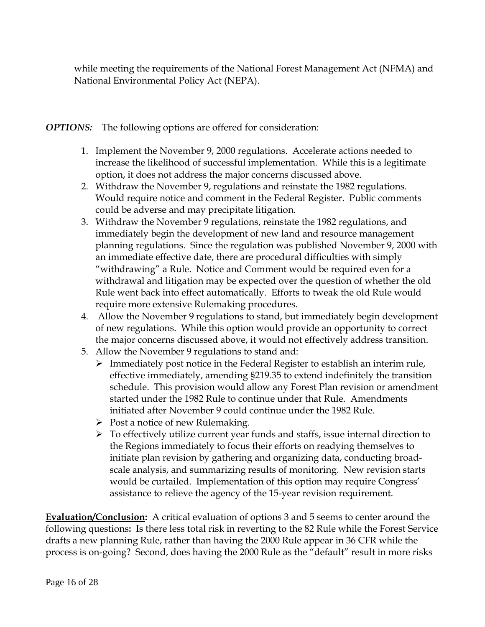while meeting the requirements of the National Forest Management Act (NFMA) and National Environmental Policy Act (NEPA).

*OPTIONS:* The following options are offered for consideration:

- 1. Implement the November 9, 2000 regulations. Accelerate actions needed to increase the likelihood of successful implementation. While this is a legitimate option, it does not address the major concerns discussed above.
- 2. Withdraw the November 9, regulations and reinstate the 1982 regulations. Would require notice and comment in the Federal Register. Public comments could be adverse and may precipitate litigation.
- 3. Withdraw the November 9 regulations, reinstate the 1982 regulations, and immediately begin the development of new land and resource management planning regulations. Since the regulation was published November 9, 2000 with an immediate effective date, there are procedural difficulties with simply "withdrawing" a Rule. Notice and Comment would be required even for a withdrawal and litigation may be expected over the question of whether the old Rule went back into effect automatically. Efforts to tweak the old Rule would require more extensive Rulemaking procedures.
- 4. Allow the November 9 regulations to stand, but immediately begin development of new regulations. While this option would provide an opportunity to correct the major concerns discussed above, it would not effectively address transition.
- 5. Allow the November 9 regulations to stand and:
	- $\triangleright$  Immediately post notice in the Federal Register to establish an interim rule, effective immediately, amending §219.35 to extend indefinitely the transition schedule. This provision would allow any Forest Plan revision or amendment started under the 1982 Rule to continue under that Rule. Amendments initiated after November 9 could continue under the 1982 Rule.
	- $\triangleright$  Post a notice of new Rulemaking.
	- $\triangleright$  To effectively utilize current year funds and staffs, issue internal direction to the Regions immediately to focus their efforts on readying themselves to initiate plan revision by gathering and organizing data, conducting broadscale analysis, and summarizing results of monitoring. New revision starts would be curtailed. Implementation of this option may require Congress' assistance to relieve the agency of the 15-year revision requirement.

**Evaluation/Conclusion:** A critical evaluation of options 3 and 5 seems to center around the following questions**:** Is there less total risk in reverting to the 82 Rule while the Forest Service drafts a new planning Rule, rather than having the 2000 Rule appear in 36 CFR while the process is on-going? Second, does having the 2000 Rule as the "default" result in more risks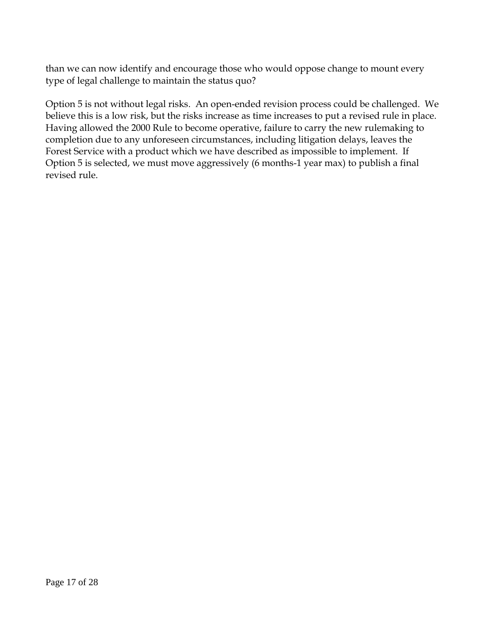than we can now identify and encourage those who would oppose change to mount every type of legal challenge to maintain the status quo?

Option 5 is not without legal risks. An open-ended revision process could be challenged. We believe this is a low risk, but the risks increase as time increases to put a revised rule in place. Having allowed the 2000 Rule to become operative, failure to carry the new rulemaking to completion due to any unforeseen circumstances, including litigation delays, leaves the Forest Service with a product which we have described as impossible to implement. If Option 5 is selected, we must move aggressively (6 months-1 year max) to publish a final revised rule.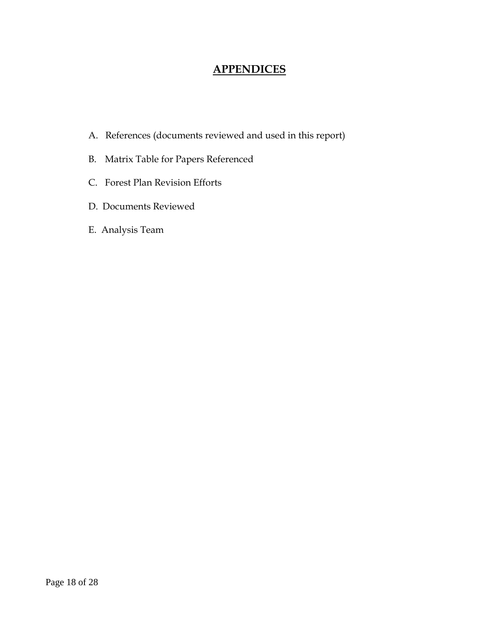# **APPENDICES**

- A. References (documents reviewed and used in this report)
- B. Matrix Table for Papers Referenced
- C. Forest Plan Revision Efforts
- D. Documents Reviewed
- E. Analysis Team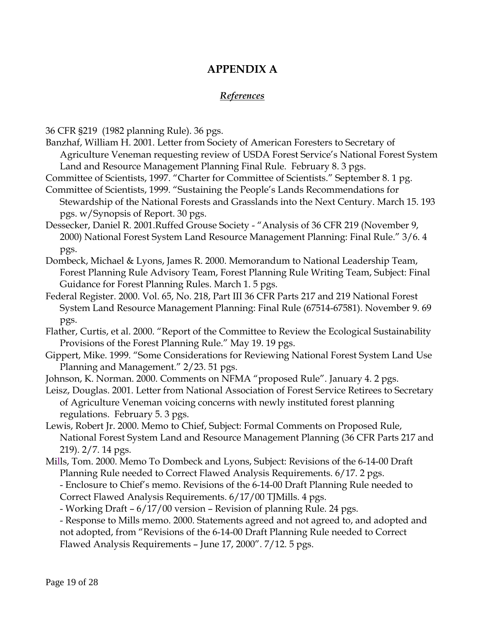# **APPENDIX A**

## *References*

36 CFR §219 (1982 planning Rule). 36 pgs.

- Banzhaf, William H. 2001. Letter from Society of American Foresters to Secretary of Agriculture Veneman requesting review of USDA Forest Service's National Forest System Land and Resource Management Planning Final Rule. February 8. 3 pgs.
- Committee of Scientists, 1997. "Charter for Committee of Scientists." September 8. 1 pg. Committee of Scientists, 1999. "Sustaining the People's Lands Recommendations for
- Stewardship of the National Forests and Grasslands into the Next Century. March 15. 193 pgs. w/Synopsis of Report. 30 pgs.
- Dessecker, Daniel R. 2001.Ruffed Grouse Society "Analysis of 36 CFR 219 (November 9, 2000) National Forest System Land Resource Management Planning: Final Rule." 3/6. 4 pgs.
- Dombeck, Michael & Lyons, James R. 2000. Memorandum to National Leadership Team, Forest Planning Rule Advisory Team, Forest Planning Rule Writing Team, Subject: Final Guidance for Forest Planning Rules. March 1. 5 pgs.
- Federal Register. 2000. Vol. 65, No. 218, Part III 36 CFR Parts 217 and 219 National Forest System Land Resource Management Planning: Final Rule (67514-67581). November 9. 69 pgs.
- Flather, Curtis, et al. 2000. "Report of the Committee to Review the Ecological Sustainability Provisions of the Forest Planning Rule." May 19. 19 pgs.
- Gippert, Mike. 1999. "Some Considerations for Reviewing National Forest System Land Use Planning and Management." 2/23. 51 pgs.
- Johnson, K. Norman. 2000. Comments on NFMA "proposed Rule". January 4. 2 pgs.
- Leisz, Douglas. 2001. Letter from National Association of Forest Service Retirees to Secretary of Agriculture Veneman voicing concerns with newly instituted forest planning regulations. February 5. 3 pgs.
- Lewis, Robert Jr. 2000. Memo to Chief, Subject: Formal Comments on Proposed Rule, National Forest System Land and Resource Management Planning (36 CFR Parts 217 and 219). 2/7. 14 pgs.
- Mills, Tom. 2000. Memo To Dombeck and Lyons, Subject: Revisions of the 6-14-00 Draft Planning Rule needed to Correct Flawed Analysis Requirements. 6/17. 2 pgs.
	- Enclosure to Chief's memo. Revisions of the 6-14-00 Draft Planning Rule needed to Correct Flawed Analysis Requirements. 6/17/00 TJMills. 4 pgs.
	- Working Draft 6/17/00 version Revision of planning Rule. 24 pgs.

- Response to Mills memo. 2000. Statements agreed and not agreed to, and adopted and not adopted, from "Revisions of the 6-14-00 Draft Planning Rule needed to Correct Flawed Analysis Requirements – June 17, 2000". 7/12. 5 pgs.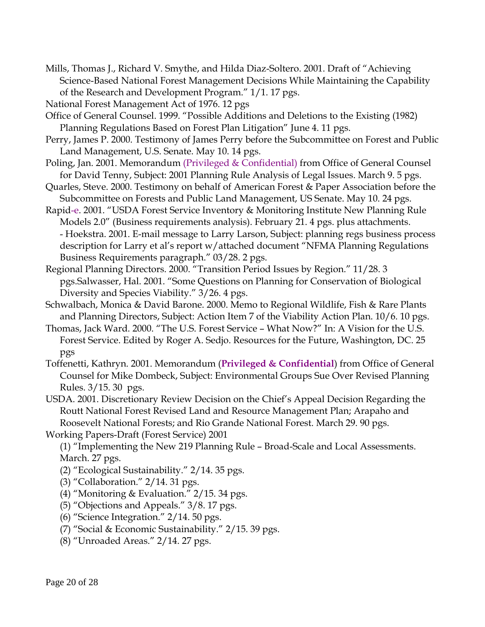Mills, Thomas J., Richard V. Smythe, and Hilda Diaz-Soltero. 2001. Draft of "Achieving Science-Based National Forest Management Decisions While Maintaining the Capability of the Research and Development Program." 1/1. 17 pgs.

National Forest Management Act of 1976. 12 pgs

- Office of General Counsel. 1999. "Possible Additions and Deletions to the Existing (1982) Planning Regulations Based on Forest Plan Litigation" June 4. 11 pgs.
- Perry, James P. 2000. Testimony of James Perry before the Subcommittee on Forest and Public Land Management, U.S. Senate. May 10. 14 pgs.
- Poling, Jan. 2001. Memorandum (Privileged & Confidential) from Office of General Counsel for David Tenny, Subject: 2001 Planning Rule Analysis of Legal Issues. March 9. 5 pgs.
- Quarles, Steve. 2000. Testimony on behalf of American Forest & Paper Association before the Subcommittee on Forests and Public Land Management, US Senate. May 10. 24 pgs.
- Rapid-e. 2001. "USDA Forest Service Inventory & Monitoring Institute New Planning Rule Models 2.0" (Business requirements analysis). February 21. 4 pgs. plus attachments. - Hoekstra. 2001. E-mail message to Larry Larson, Subject: planning regs business process description for Larry et al's report w/attached document "NFMA Planning Regulations Business Requirements paragraph." 03/28. 2 pgs.
- Regional Planning Directors. 2000. "Transition Period Issues by Region." 11/28. 3 pgs.Salwasser, Hal. 2001. "Some Questions on Planning for Conservation of Biological Diversity and Species Viability." 3/26. 4 pgs.
- Schwalbach, Monica & David Barone. 2000. Memo to Regional Wildlife, Fish & Rare Plants and Planning Directors, Subject: Action Item 7 of the Viability Action Plan. 10/6. 10 pgs.
- Thomas, Jack Ward. 2000. "The U.S. Forest Service What Now?" In: A Vision for the U.S. Forest Service. Edited by Roger A. Sedjo. Resources for the Future, Washington, DC. 25 pgs
- Toffenetti, Kathryn. 2001. Memorandum (**Privileged & Confidential**) from Office of General Counsel for Mike Dombeck, Subject: Environmental Groups Sue Over Revised Planning Rules. 3/15. 30 pgs.
- USDA. 2001. Discretionary Review Decision on the Chief's Appeal Decision Regarding the Routt National Forest Revised Land and Resource Management Plan; Arapaho and Roosevelt National Forests; and Rio Grande National Forest. March 29. 90 pgs.
- Working Papers-Draft (Forest Service) 2001

(1) "Implementing the New 219 Planning Rule – Broad-Scale and Local Assessments. March. 27 pgs.

- (2) "Ecological Sustainability." 2/14. 35 pgs.
- (3) "Collaboration." 2/14. 31 pgs.
- (4) "Monitoring & Evaluation." 2/15. 34 pgs.
- (5) "Objections and Appeals." 3/8. 17 pgs.
- (6) "Science Integration." 2/14. 50 pgs.
- (7) "Social & Economic Sustainability." 2/15. 39 pgs.
- (8) "Unroaded Areas." 2/14. 27 pgs.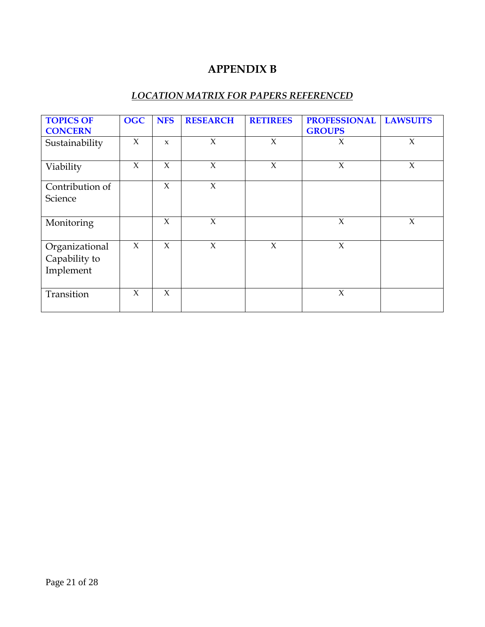# **APPENDIX B**

## *LOCATION MATRIX FOR PAPERS REFERENCED*

| <b>TOPICS OF</b>                             | <b>OGC</b> | <b>NFS</b>   | <b>RESEARCH</b> | <b>RETIREES</b> | <b>PROFESSIONAL</b> | <b>LAWSUITS</b> |
|----------------------------------------------|------------|--------------|-----------------|-----------------|---------------------|-----------------|
| <b>CONCERN</b>                               |            |              |                 |                 | <b>GROUPS</b>       |                 |
| Sustainability                               | $\chi$     | $\mathbf{x}$ | $\chi$          | $\chi$          | $\chi$              | $\chi$          |
| Viability                                    | $\chi$     | $\chi$       | $\chi$          | $\chi$          | $\chi$              | $\chi$          |
| Contribution of                              |            | $\chi$       | $\chi$          |                 |                     |                 |
| Science                                      |            |              |                 |                 |                     |                 |
| Monitoring                                   |            | $\chi$       | $\chi$          |                 | $\chi$              | X               |
| Organizational<br>Capability to<br>Implement | $\chi$     | $\chi$       | $\chi$          | $\chi$          | $\chi$              |                 |
| Transition                                   | $\chi$     | $\chi$       |                 |                 | $\chi$              |                 |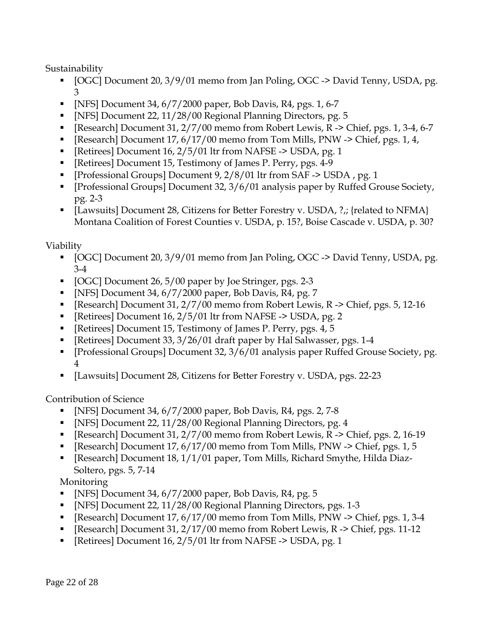Sustainability

- [OGC] Document 20, 3/9/01 memo from Jan Poling, OGC -> David Tenny, USDA, pg. 3
- $\blacksquare$  [NFS] Document 34, 6/7/2000 paper, Bob Davis, R4, pgs. 1, 6-7
- [NFS] Document 22, 11/28/00 Regional Planning Directors, pg. 5
- Exerch] Document  $31, 2/7/00$  memo from Robert Lewis, R  $\geq$  Chief, pgs. 1, 3-4, 6-7
- Exerch] Document  $17, 6/17/00$  memo from Tom Mills, PNW -> Chief, pgs. 1, 4,
- External Document 16,  $2/5/01$  ltr from NAFSE -> USDA, pg. 1
- [Retirees] Document 15, Testimony of James P. Perry, pgs. 4-9
- [Professional Groups] Document 9, 2/8/01 ltr from SAF -> USDA , pg. 1
- [Professional Groups] Document 32, 3/6/01 analysis paper by Ruffed Grouse Society, pg. 2-3
- [Lawsuits] Document 28, Citizens for Better Forestry v. USDA, ?,; {related to NFMA} Montana Coalition of Forest Counties v. USDA, p. 15?, Boise Cascade v. USDA, p. 30?

Viability

- [OGC] Document 20, 3/9/01 memo from Jan Poling, OGC -> David Tenny, USDA, pg. 3-4
- $\blacksquare$  [OGC] Document 26, 5/00 paper by Joe Stringer, pgs. 2-3
- $\blacksquare$  [NFS] Document 34, 6/7/2000 paper, Bob Davis, R4, pg. 7
- Exerch] Document 31,  $2/7/00$  memo from Robert Lewis, R  $\geq$  Chief, pgs. 5, 12-16
- [Retirees] Document 16, 2/5/01 ltr from NAFSE -> USDA, pg. 2
- [Retirees] Document 15, Testimony of James P. Perry, pgs. 4, 5
- [Retirees] Document 33, 3/26/01 draft paper by Hal Salwasser, pgs. 1-4
- [Professional Groups] Document 32, 3/6/01 analysis paper Ruffed Grouse Society, pg. 4
- [Lawsuits] Document 28, Citizens for Better Forestry v. USDA, pgs. 22-23

Contribution of Science

- $\blacksquare$  [NFS] Document 34, 6/7/2000 paper, Bob Davis, R4, pgs. 2, 7-8
- [NFS] Document 22, 11/28/00 Regional Planning Directors, pg. 4
- [Research] Document 31, 2/7/00 memo from Robert Lewis, R -> Chief, pgs. 2, 16-19
- Exerch] Document  $17, 6/17/00$  memo from Tom Mills, PNW -> Chief, pgs. 1, 5
- [Research] Document 18, 1/1/01 paper, Tom Mills, Richard Smythe, Hilda Diaz-Soltero, pgs. 5, 7-14

Monitoring

- $\blacksquare$  [NFS] Document 34, 6/7/2000 paper, Bob Davis, R4, pg. 5
- [NFS] Document 22, 11/28/00 Regional Planning Directors, pgs. 1-3
- **Farm Eldison 19. In the Section 17, 6/17/00 memo from Tom Mills, PNW -> Chief, pgs. 1, 3-4**
- **Figure 1** [Research] Document 31,  $2/17/00$  memo from Robert Lewis, R  $\geq$  Chief, pgs. 11-12
- External Document 16,  $2/5/01$  ltr from NAFSE -> USDA, pg. 1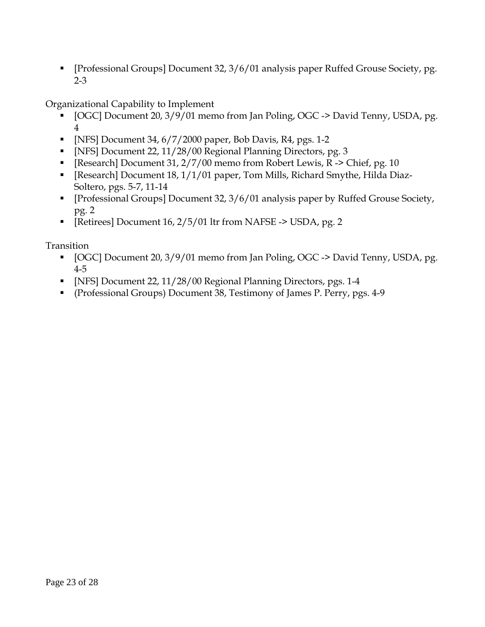[Professional Groups] Document 32, 3/6/01 analysis paper Ruffed Grouse Society, pg. 2-3

Organizational Capability to Implement

- [OGC] Document 20, 3/9/01 memo from Jan Poling, OGC -> David Tenny, USDA, pg. 4
- $\blacksquare$  [NFS] Document 34, 6/7/2000 paper, Bob Davis, R4, pgs. 1-2
- [NFS] Document 22, 11/28/00 Regional Planning Directors, pg. 3
- Exerch] Document 31,  $2/7/00$  memo from Robert Lewis, R -> Chief, pg. 10
- [Research] Document 18, 1/1/01 paper, Tom Mills, Richard Smythe, Hilda Diaz-Soltero, pgs. 5-7, 11-14
- [Professional Groups] Document 32, 3/6/01 analysis paper by Ruffed Grouse Society, pg. 2
- [Retirees] Document 16, 2/5/01 ltr from NAFSE -> USDA, pg. 2

Transition

- [OGC] Document 20, 3/9/01 memo from Jan Poling, OGC -> David Tenny, USDA, pg. 4-5
- [NFS] Document 22, 11/28/00 Regional Planning Directors, pgs. 1-4
- (Professional Groups) Document 38, Testimony of James P. Perry, pgs. 4-9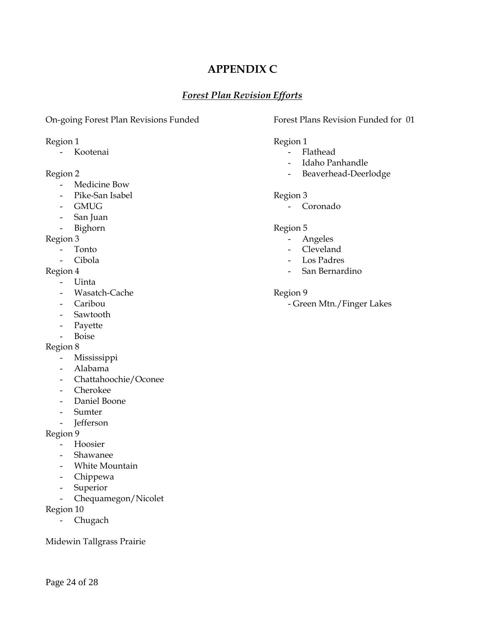# **APPENDIX C**

## *Forest Plan Revision Efforts*

### On-going Forest Plan Revisions Funded Forest Plans Revision Funded for 01

- Medicine Bow
- Pike-San Isabel Region 3
- 
- San Juan
- Bighorn Region 5

- 
- 

- Uinta
- Wasatch-Cache Region 9
- 
- Sawtooth
- Payette
- Boise

### Region 8

- Mississippi
- Alabama
- Chattahoochie/Oconee
- Cherokee
- Daniel Boone
- Sumter
- Jefferson

### Region 9

- Hoosier
- Shawanee
- White Mountain
- Chippewa
- Superior
- Chequamegon/Nicolet
- Region 10
	- Chugach

Midewin Tallgrass Prairie

### Region 1 Region 1

- Kootenai **-** Flathead
	- Idaho Panhandle
- Region 2 and 2 and 2 and 2 and 2 and 2 and 2 and 2 and 2 and 2 and 2 and 2 and 2 and 2 and 2 and 2 and 2 and 2 and 2 and 2 and 2 and 2 and 2 and 2 and 2 and 2 and 2 and 2 and 2 and 2 and 2 and 2 and 2 and 2 and 2 and 2 and

- GMUG - Coronado

- Region 3 Angeles
	- Tonto  **Cleveland**
	- Cibola Los Padres
- Region 4 San Bernardino

- Caribou **- Green Mtn./Finger Lakes**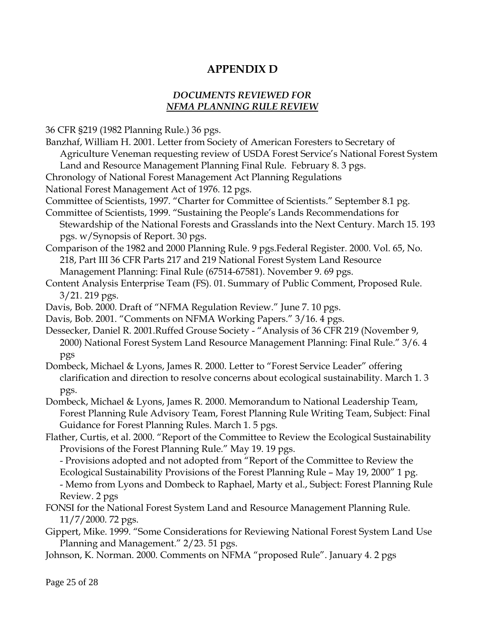# **APPENDIX D**

## *DOCUMENTS REVIEWED FOR NFMA PLANNING RULE REVIEW*

36 CFR §219 (1982 Planning Rule.) 36 pgs.

- Banzhaf, William H. 2001. Letter from Society of American Foresters to Secretary of Agriculture Veneman requesting review of USDA Forest Service's National Forest System Land and Resource Management Planning Final Rule. February 8. 3 pgs. Chronology of National Forest Management Act Planning Regulations National Forest Management Act of 1976. 12 pgs. Committee of Scientists, 1997. "Charter for Committee of Scientists." September 8.1 pg. Committee of Scientists, 1999. "Sustaining the People's Lands Recommendations for Stewardship of the National Forests and Grasslands into the Next Century. March 15. 193 pgs. w/Synopsis of Report. 30 pgs. Comparison of the 1982 and 2000 Planning Rule. 9 pgs.Federal Register. 2000. Vol. 65, No. 218, Part III 36 CFR Parts 217 and 219 National Forest System Land Resource Management Planning: Final Rule (67514-67581). November 9. 69 pgs. Content Analysis Enterprise Team (FS). 01. Summary of Public Comment, Proposed Rule. 3/21. 219 pgs. Davis, Bob. 2000. Draft of "NFMA Regulation Review." June 7. 10 pgs. Davis, Bob. 2001. "Comments on NFMA Working Papers." 3/16. 4 pgs. Dessecker, Daniel R. 2001.Ruffed Grouse Society - "Analysis of 36 CFR 219 (November 9, 2000) National Forest System Land Resource Management Planning: Final Rule." 3/6. 4 pgs Dombeck, Michael & Lyons, James R. 2000. Letter to "Forest Service Leader" offering clarification and direction to resolve concerns about ecological sustainability. March 1. 3 pgs. Dombeck, Michael & Lyons, James R. 2000. Memorandum to National Leadership Team, Forest Planning Rule Advisory Team, Forest Planning Rule Writing Team, Subject: Final Guidance for Forest Planning Rules. March 1. 5 pgs. Flather, Curtis, et al. 2000. "Report of the Committee to Review the Ecological Sustainability Provisions of the Forest Planning Rule." May 19. 19 pgs. - Provisions adopted and not adopted from "Report of the Committee to Review the Ecological Sustainability Provisions of the Forest Planning Rule – May 19, 2000" 1 pg. - Memo from Lyons and Dombeck to Raphael, Marty et al., Subject: Forest Planning Rule Review. 2 pgs FONSI for the National Forest System Land and Resource Management Planning Rule. 11/7/2000. 72 pgs.
- Gippert, Mike. 1999. "Some Considerations for Reviewing National Forest System Land Use Planning and Management." 2/23. 51 pgs.
- Johnson, K. Norman. 2000. Comments on NFMA "proposed Rule". January 4. 2 pgs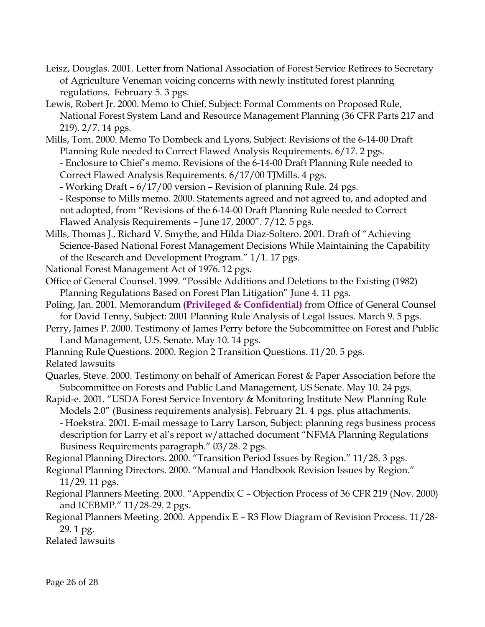- Leisz, Douglas. 2001. Letter from National Association of Forest Service Retirees to Secretary of Agriculture Veneman voicing concerns with newly instituted forest planning regulations. February 5. 3 pgs.
- Lewis, Robert Jr. 2000. Memo to Chief, Subject: Formal Comments on Proposed Rule, National Forest System Land and Resource Management Planning (36 CFR Parts 217 and 219). 2/7. 14 pgs.
- Mills, Tom. 2000. Memo To Dombeck and Lyons, Subject: Revisions of the 6-14-00 Draft Planning Rule needed to Correct Flawed Analysis Requirements. 6/17. 2 pgs. - Enclosure to Chief's memo. Revisions of the 6-14-00 Draft Planning Rule needed to
	- Correct Flawed Analysis Requirements. 6/17/00 TJMills. 4 pgs.
	- Working Draft 6/17/00 version Revision of planning Rule. 24 pgs.
	- Response to Mills memo. 2000. Statements agreed and not agreed to, and adopted and not adopted, from "Revisions of the 6-14-00 Draft Planning Rule needed to Correct Flawed Analysis Requirements – June 17, 2000". 7/12. 5 pgs.
- Mills, Thomas J., Richard V. Smythe, and Hilda Diaz-Soltero. 2001. Draft of "Achieving Science-Based National Forest Management Decisions While Maintaining the Capability of the Research and Development Program." 1/1. 17 pgs.
- National Forest Management Act of 1976. 12 pgs.
- Office of General Counsel. 1999. "Possible Additions and Deletions to the Existing (1982) Planning Regulations Based on Forest Plan Litigation" June 4. 11 pgs.
- Poling, Jan. 2001. Memorandum **(Privileged & Confidential)** from Office of General Counsel for David Tenny, Subject: 2001 Planning Rule Analysis of Legal Issues. March 9. 5 pgs.
- Perry, James P. 2000. Testimony of James Perry before the Subcommittee on Forest and Public Land Management, U.S. Senate. May 10. 14 pgs.
- Planning Rule Questions. 2000. Region 2 Transition Questions. 11/20. 5 pgs.
- Related lawsuits
- Quarles, Steve. 2000. Testimony on behalf of American Forest & Paper Association before the Subcommittee on Forests and Public Land Management, US Senate. May 10. 24 pgs.
- Rapid-e. 2001. "USDA Forest Service Inventory & Monitoring Institute New Planning Rule Models 2.0" (Business requirements analysis). February 21. 4 pgs. plus attachments. - Hoekstra. 2001. E-mail message to Larry Larson, Subject: planning regs business process description for Larry et al's report w/attached document "NFMA Planning Regulations Business Requirements paragraph." 03/28. 2 pgs.
- Regional Planning Directors. 2000. "Transition Period Issues by Region." 11/28. 3 pgs.
- Regional Planning Directors. 2000. "Manual and Handbook Revision Issues by Region." 11/29. 11 pgs.
- Regional Planners Meeting. 2000. "Appendix C Objection Process of 36 CFR 219 (Nov. 2000) and ICEBMP." 11/28-29. 2 pgs.
- Regional Planners Meeting. 2000. Appendix E R3 Flow Diagram of Revision Process. 11/28- 29. 1 pg.

Related lawsuits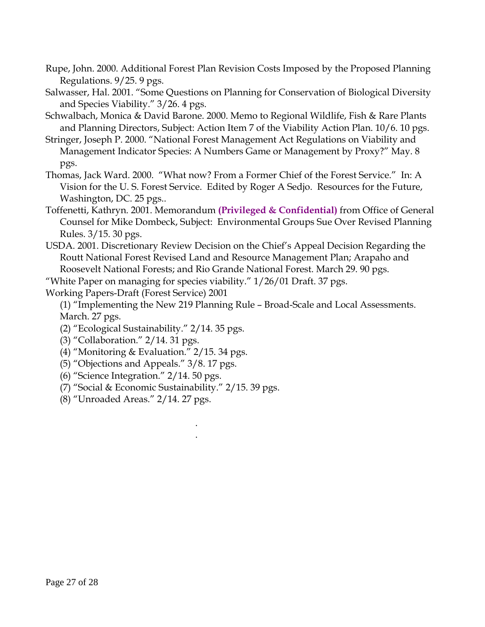- Rupe, John. 2000. Additional Forest Plan Revision Costs Imposed by the Proposed Planning Regulations. 9/25. 9 pgs.
- Salwasser, Hal. 2001. "Some Questions on Planning for Conservation of Biological Diversity and Species Viability." 3/26. 4 pgs.
- Schwalbach, Monica & David Barone. 2000. Memo to Regional Wildlife, Fish & Rare Plants and Planning Directors, Subject: Action Item 7 of the Viability Action Plan. 10/6. 10 pgs.
- Stringer, Joseph P. 2000. "National Forest Management Act Regulations on Viability and Management Indicator Species: A Numbers Game or Management by Proxy?" May. 8 pgs.
- Thomas, Jack Ward. 2000. "What now? From a Former Chief of the Forest Service." In: A Vision for the U. S. Forest Service. Edited by Roger A Sedjo. Resources for the Future, Washington, DC. 25 pgs..
- Toffenetti, Kathryn. 2001. Memorandum **(Privileged & Confidential)** from Office of General Counsel for Mike Dombeck, Subject: Environmental Groups Sue Over Revised Planning Rules. 3/15. 30 pgs.
- USDA. 2001. Discretionary Review Decision on the Chief's Appeal Decision Regarding the Routt National Forest Revised Land and Resource Management Plan; Arapaho and Roosevelt National Forests; and Rio Grande National Forest. March 29. 90 pgs.

"White Paper on managing for species viability."  $1/26/01$  Draft. 37 pgs.

. .

Working Papers-Draft (Forest Service) 2001

(1) "Implementing the New 219 Planning Rule – Broad-Scale and Local Assessments. March. 27 pgs.

- (2) "Ecological Sustainability." 2/14. 35 pgs.
- (3) "Collaboration." 2/14. 31 pgs.
- (4) "Monitoring & Evaluation." 2/15. 34 pgs.
- (5) "Objections and Appeals." 3/8. 17 pgs.
- (6) "Science Integration." 2/14. 50 pgs.
- (7) "Social & Economic Sustainability." 2/15. 39 pgs.
- (8) "Unroaded Areas." 2/14. 27 pgs.